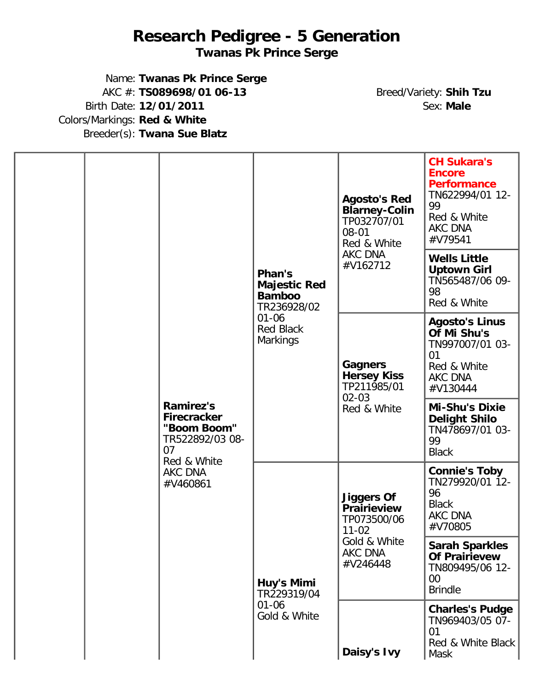## **Research Pedigree - 5 Generation**

**Twanas Pk Prince Serge**

Name: **Twanas Pk Prince Serge** AKC #: **TS089698/01 06-13** Breed/Variety: **Shih Tzu** Birth Date: **12/01/2011** Colors/Markings: **Red & White** Breeder(s): **Twana Sue Blatz**

|                                                                                                                      |                                                  | Phan's<br><b>Majestic Red</b><br><b>Bamboo</b><br>TR236928/02                   | <b>Agosto's Red</b><br><b>Blarney-Colin</b><br>TP032707/01<br>$08 - 01$<br>Red & White<br>AKC DNA<br>#V162712 | <b>CH Sukara's</b><br><b>Encore</b><br><b>Performance</b><br>TN622994/01 12-<br>99<br>Red & White<br><b>AKC DNA</b><br>#V79541 |
|----------------------------------------------------------------------------------------------------------------------|--------------------------------------------------|---------------------------------------------------------------------------------|---------------------------------------------------------------------------------------------------------------|--------------------------------------------------------------------------------------------------------------------------------|
| <b>Ramirez's</b><br><b>Firecracker</b><br>"Boom Boom"<br>TR522892/03 08-<br>07<br>Red & White<br>AKC DNA<br>#V460861 |                                                  |                                                                                 |                                                                                                               | <b>Wells Little</b><br><b>Uptown Girl</b><br>TN565487/06 09-<br>98<br>Red & White                                              |
|                                                                                                                      | $01 - 06$<br><b>Red Black</b><br><b>Markings</b> | <b>Gagners</b><br><b>Hersey Kiss</b><br>TP211985/01<br>$02 - 03$<br>Red & White | <b>Agosto's Linus</b><br>Of Mi Shu's<br>TN997007/01 03-<br>01<br>Red & White<br><b>AKC DNA</b><br>#V130444    |                                                                                                                                |
|                                                                                                                      |                                                  |                                                                                 | <b>Mi-Shu's Dixie</b><br><b>Delight Shilo</b><br>TN478697/01 03-<br>99<br><b>Black</b>                        |                                                                                                                                |
|                                                                                                                      |                                                  | <b>Jiggers Of</b><br><b>Prairieview</b><br>TP073500/06<br>$11 - 02$             |                                                                                                               | <b>Connie's Toby</b><br>TN279920/01 12-<br>96<br><b>Black</b><br>AKC DNA<br>#V70805                                            |
|                                                                                                                      | Huy's Mimi<br>TR229319/04                        | Gold & White<br>AKC DNA<br>#V246448                                             | <b>Sarah Sparkles</b><br><b>Of Prairievew</b><br>TN809495/06 12-<br>$00\,$<br><b>Brindle</b>                  |                                                                                                                                |
|                                                                                                                      |                                                  | $01 - 06$<br>Gold & White                                                       | Daisy's Ivy                                                                                                   | <b>Charles's Pudge</b><br>TN969403/05 07-<br>01<br>Red & White Black<br>Mask                                                   |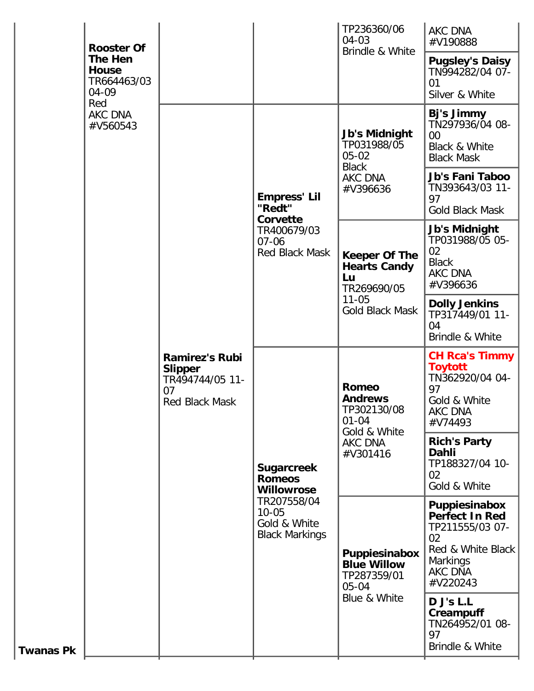|                                                                                          | <b>Rooster Of</b> |                                                                                    |                                                                                                                              | TP236360/06<br>04-03                                                                              | <b>AKC DNA</b><br>#V190888                                                                                                            |
|------------------------------------------------------------------------------------------|-------------------|------------------------------------------------------------------------------------|------------------------------------------------------------------------------------------------------------------------------|---------------------------------------------------------------------------------------------------|---------------------------------------------------------------------------------------------------------------------------------------|
| The Hen<br><b>House</b><br>TR664463/03<br>$04 - 09$<br>Red<br><b>AKC DNA</b><br>#V560543 |                   |                                                                                    |                                                                                                                              | Brindle & White                                                                                   | <b>Pugsley's Daisy</b><br>TN994282/04 07-<br>01<br>Silver & White                                                                     |
|                                                                                          |                   | <b>Ramirez's Rubi</b><br><b>Slipper</b><br>TR494744/05 11-<br>07<br>Red Black Mask | <b>Empress' Lil</b><br>"Redt"<br>Corvette<br>TR400679/03<br>$07 - 06$<br>Red Black Mask                                      | <b>Jb's Midnight</b><br>TP031988/05<br>$05 - 02$<br><b>Black</b><br>AKC DNA<br>#V396636           | Bj's Jimmy<br>TN297936/04 08-<br>$00\,$<br><b>Black &amp; White</b><br><b>Black Mask</b>                                              |
|                                                                                          |                   |                                                                                    |                                                                                                                              |                                                                                                   | Jb's Fani Taboo<br>TN393643/03 11-<br>97<br>Gold Black Mask                                                                           |
|                                                                                          |                   |                                                                                    |                                                                                                                              | <b>Keeper Of The</b><br><b>Hearts Candy</b><br>Lu<br>TR269690/05<br>$11 - 05$<br>Gold Black Mask  | <b>Jb's Midnight</b><br>TP031988/05 05-<br>02<br><b>Black</b><br><b>AKC DNA</b><br>#V396636                                           |
|                                                                                          |                   |                                                                                    |                                                                                                                              |                                                                                                   | <b>Dolly Jenkins</b><br>TP317449/01 11-<br>04<br>Brindle & White                                                                      |
|                                                                                          |                   |                                                                                    | <b>Sugarcreek</b><br><b>Romeos</b><br><b>Willowrose</b><br>TR207558/04<br>$10 - 05$<br>Gold & White<br><b>Black Markings</b> | <b>Romeo</b><br><b>Andrews</b><br>TP302130/08<br>$01 - 04$<br>Gold & White<br>AKC DNA<br>#V301416 | <b>CH Rca's Timmy</b><br><b>Toytott</b><br>TN362920/04 04-<br>97<br>Gold & White<br>AKC DNA<br>#V74493                                |
|                                                                                          |                   |                                                                                    |                                                                                                                              |                                                                                                   | <b>Rich's Party</b><br>Dahli<br>TP188327/04 10-<br>02<br>Gold & White                                                                 |
|                                                                                          |                   |                                                                                    |                                                                                                                              | Puppiesinabox<br><b>Blue Willow</b><br>TP287359/01<br>$05 - 04$                                   | Puppiesinabox<br><b>Perfect In Red</b><br>TP211555/03 07-<br>02<br>Red & White Black<br><b>Markings</b><br><b>AKC DNA</b><br>#V220243 |
| <b>Twanas Pk</b>                                                                         |                   |                                                                                    | Blue & White                                                                                                                 | D J's L.L<br>Creampuff<br>TN264952/01 08-<br>97<br>Brindle & White                                |                                                                                                                                       |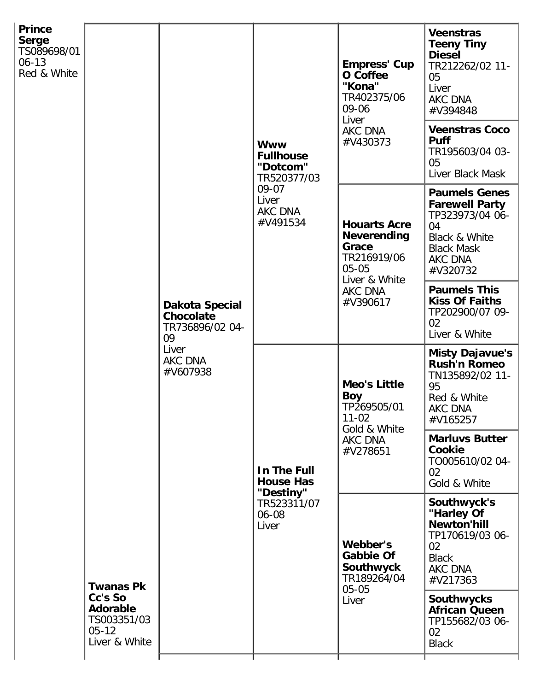| <b>Prince</b><br><b>Serge</b><br>TS089698/01<br>$06 - 13$<br>Red & White | <b>Twanas Pk</b><br>Cc's So<br><b>Adorable</b><br>TS003351/03<br>$05 - 12$<br>Liver & White | Dakota Special<br>Chocolate<br>TR736896/02 04-<br>09<br>Liver<br><b>AKC DNA</b><br>#V607938 | <b>Www</b><br><b>Fullhouse</b><br>"Dotcom"<br>TR520377/03<br>09-07<br>Liver<br>AKC DNA<br>#V491534 | <b>Empress' Cup</b><br>O Coffee<br>"Kona"<br>TR402375/06<br>09-06<br>Liver<br>AKC DNA<br>#V430373                      | <b>Veenstras</b><br><b>Teeny Tiny</b><br><b>Diesel</b><br>TR212262/02 11-<br>05<br>Liver<br>AKC DNA<br>#V394848                     |
|--------------------------------------------------------------------------|---------------------------------------------------------------------------------------------|---------------------------------------------------------------------------------------------|----------------------------------------------------------------------------------------------------|------------------------------------------------------------------------------------------------------------------------|-------------------------------------------------------------------------------------------------------------------------------------|
|                                                                          |                                                                                             |                                                                                             |                                                                                                    |                                                                                                                        | <b>Veenstras Coco</b><br><b>Puff</b><br>TR195603/04 03-<br>05<br>Liver Black Mask                                                   |
|                                                                          |                                                                                             |                                                                                             |                                                                                                    | <b>Houarts Acre</b><br><b>Neverending</b><br>Grace<br>TR216919/06<br>$05 - 05$<br>Liver & White<br>AKC DNA<br>#V390617 | <b>Paumels Genes</b><br><b>Farewell Party</b><br>TP323973/04 06-<br>04<br>Black & White<br><b>Black Mask</b><br>AKC DNA<br>#V320732 |
|                                                                          |                                                                                             |                                                                                             |                                                                                                    |                                                                                                                        | <b>Paumels This</b><br><b>Kiss Of Faiths</b><br>TP202900/07 09-<br>02<br>Liver & White                                              |
|                                                                          |                                                                                             |                                                                                             | In The Full<br><b>House Has</b><br>"Destiny"<br>TR523311/07<br>06-08<br>Liver                      | <b>Meo's Little</b><br><b>Boy</b><br>TP269505/01<br>$11 - 02$<br>Gold & White<br>AKC DNA<br>#V278651                   | <b>Misty Dajavue's</b><br><b>Rush'n Romeo</b><br>TN135892/02 11-<br>95<br>Red & White<br><b>AKC DNA</b><br>#V165257                 |
|                                                                          |                                                                                             |                                                                                             |                                                                                                    |                                                                                                                        | <b>Marluvs Butter</b><br>Cookie<br>TO005610/02 04-<br>02<br>Gold & White                                                            |
|                                                                          |                                                                                             |                                                                                             |                                                                                                    | Webber's<br><b>Gabbie Of</b><br>Southwyck<br>TR189264/04<br>$05 - 05$<br>Liver                                         | Southwyck's<br>"Harley Of<br><b>Newton'hill</b><br>TP170619/03 06-<br>02<br><b>Black</b><br><b>AKC DNA</b><br>#V217363              |
|                                                                          |                                                                                             |                                                                                             |                                                                                                    |                                                                                                                        | <b>Southwycks</b><br><b>African Queen</b><br>TP155682/03 06-<br>02<br><b>Black</b>                                                  |
|                                                                          |                                                                                             |                                                                                             |                                                                                                    |                                                                                                                        |                                                                                                                                     |